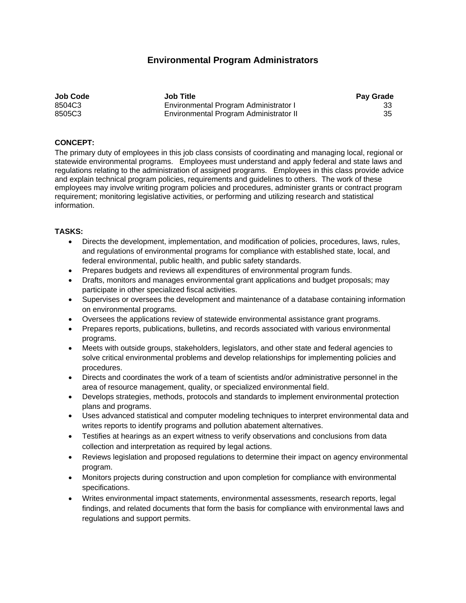## **Environmental Program Administrators**

| <b>Job Code</b> | <b>Job Title</b>                       | <b>Pay Grade</b> |
|-----------------|----------------------------------------|------------------|
| 8504C3          | Environmental Program Administrator I  |                  |
| 8505C3          | Environmental Program Administrator II | 35               |

## **CONCEPT:**

The primary duty of employees in this job class consists of coordinating and managing local, regional or statewide environmental programs. Employees must understand and apply federal and state laws and regulations relating to the administration of assigned programs. Employees in this class provide advice and explain technical program policies, requirements and guidelines to others. The work of these employees may involve writing program policies and procedures, administer grants or contract program requirement; monitoring legislative activities, or performing and utilizing research and statistical information.

## **TASKS:**

- Directs the development, implementation, and modification of policies, procedures, laws, rules, and regulations of environmental programs for compliance with established state, local, and federal environmental, public health, and public safety standards.
- Prepares budgets and reviews all expenditures of environmental program funds.
- Drafts, monitors and manages environmental grant applications and budget proposals; may participate in other specialized fiscal activities.
- Supervises or oversees the development and maintenance of a database containing information on environmental programs.
- Oversees the applications review of statewide environmental assistance grant programs.
- Prepares reports, publications, bulletins, and records associated with various environmental programs.
- Meets with outside groups, stakeholders, legislators, and other state and federal agencies to solve critical environmental problems and develop relationships for implementing policies and procedures.
- Directs and coordinates the work of a team of scientists and/or administrative personnel in the area of resource management, quality, or specialized environmental field.
- Develops strategies, methods, protocols and standards to implement environmental protection plans and programs.
- Uses advanced statistical and computer modeling techniques to interpret environmental data and writes reports to identify programs and pollution abatement alternatives.
- Testifies at hearings as an expert witness to verify observations and conclusions from data collection and interpretation as required by legal actions.
- Reviews legislation and proposed regulations to determine their impact on agency environmental program.
- Monitors projects during construction and upon completion for compliance with environmental specifications.
- Writes environmental impact statements, environmental assessments, research reports, legal findings, and related documents that form the basis for compliance with environmental laws and regulations and support permits.